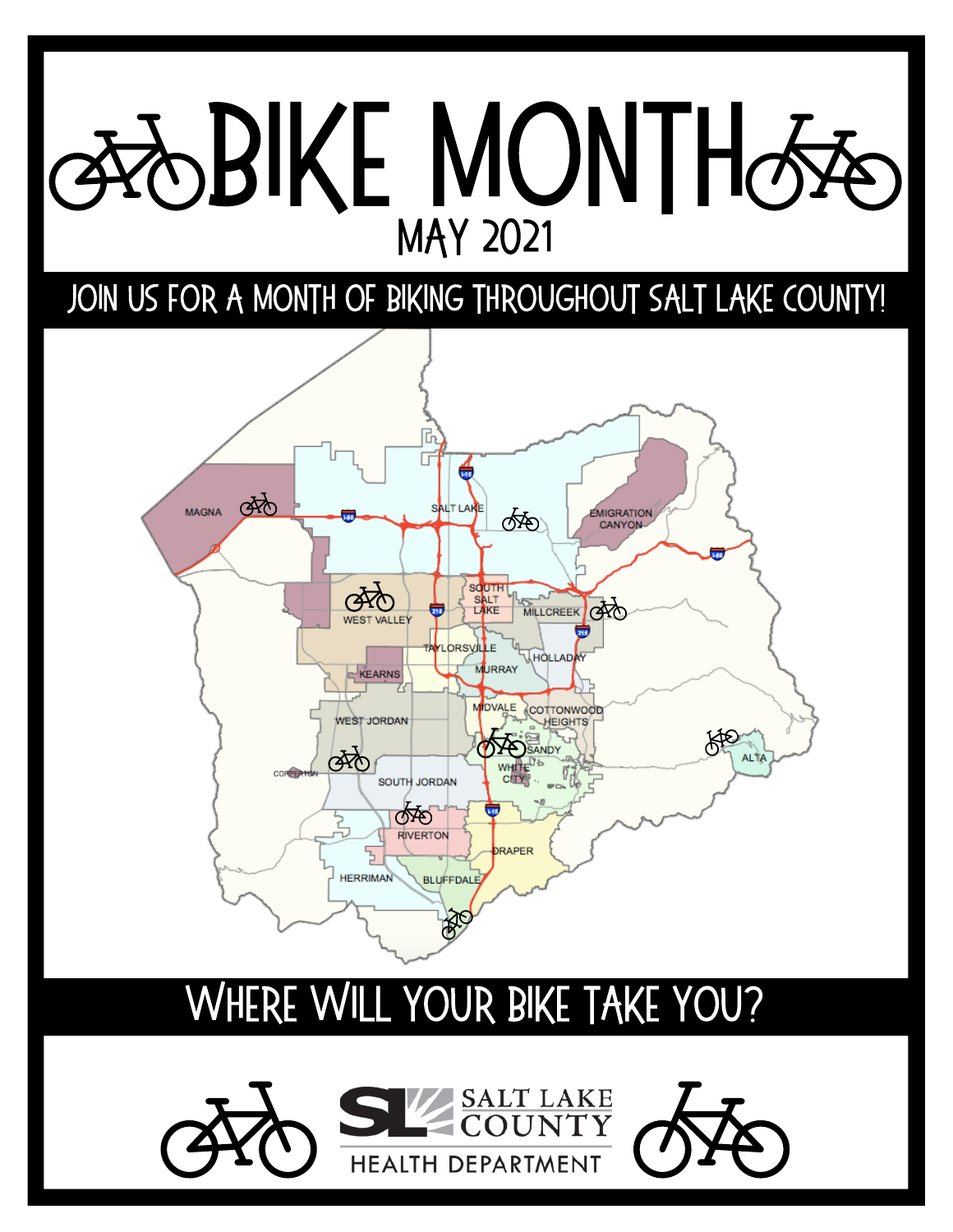## **BIKE MONTH& MAY 2021**

#### JOIN US FOR A MONTH OF BIKING THROUGHOUT SALT LAKE COUNTY!



#### Where Will Your Bike Take You?

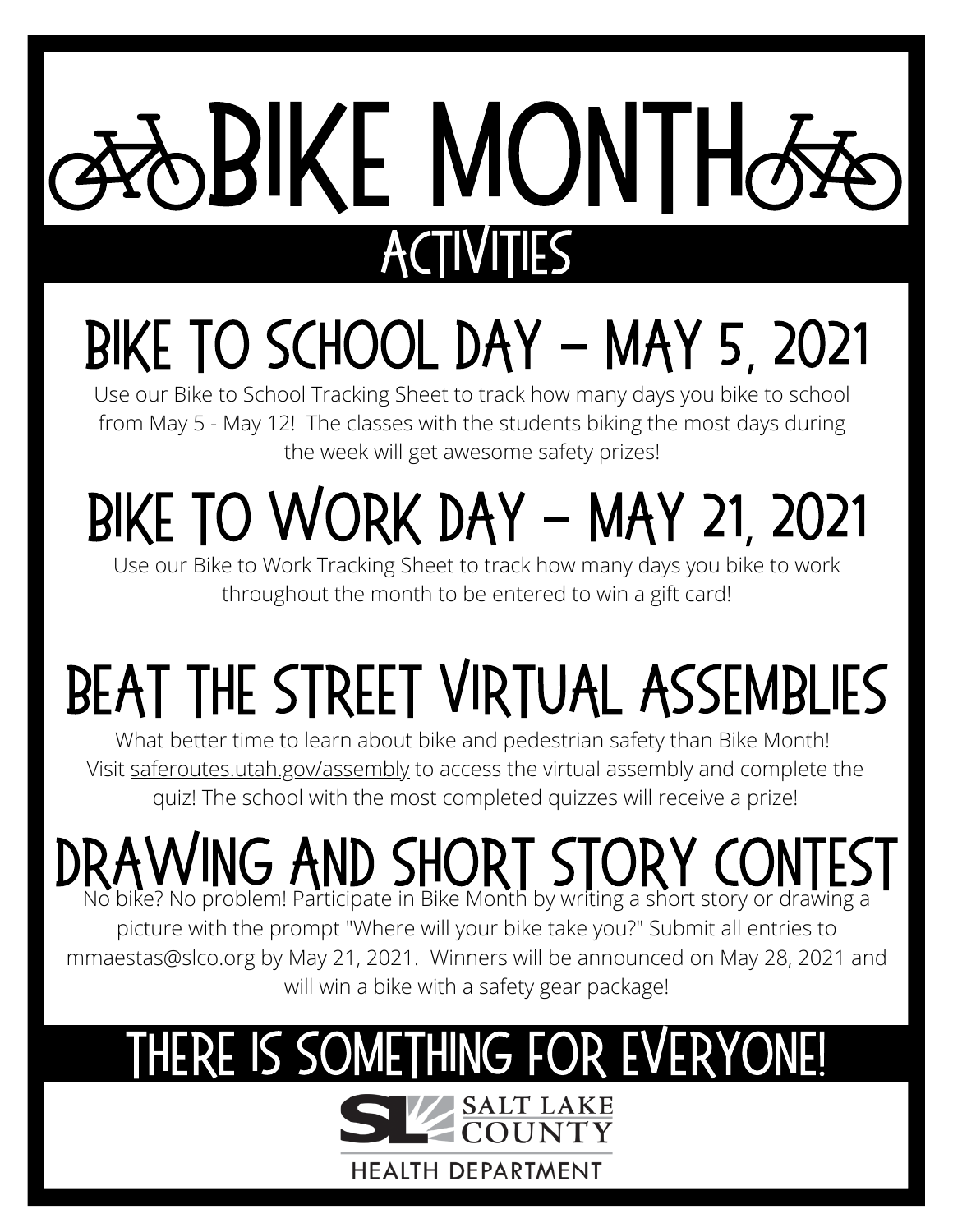# BIKE MONTHO **ACTIV**

## Bike to school Day - may 5, 2021

Use our Bike to School Tracking Sheet to track how many days you bike to school from May 5 - May 12! The classes with the students biking the most days during the week will get awesome safety prizes!

## BIKE TO WORK DAY - MAY 21, 2021

Use our Bike to Work Tracking Sheet to track how many days you bike to work throughout the month to be entered to win a gift card!

## Beat the street virtual assemblies

What better time to learn about bike and pedestrian safety than Bike Month! Visit [saferoutes.utah.gov/assembly](http://saferoutes.utah.gov/assembly) to access the virtual assembly and complete the quiz! The school with the most completed quizzes will receive a prize!

## DRAWING AND SHORT STORY CONTEST

picture with the prompt "Where will your bike take you?" Submit all entries to mmaestas@slco.org by May 21, 2021. Winners will be announced on May 28, 2021 and will win a bike with a safety gear package!

## THERE IS SOMETHING FOR EVERYONE!

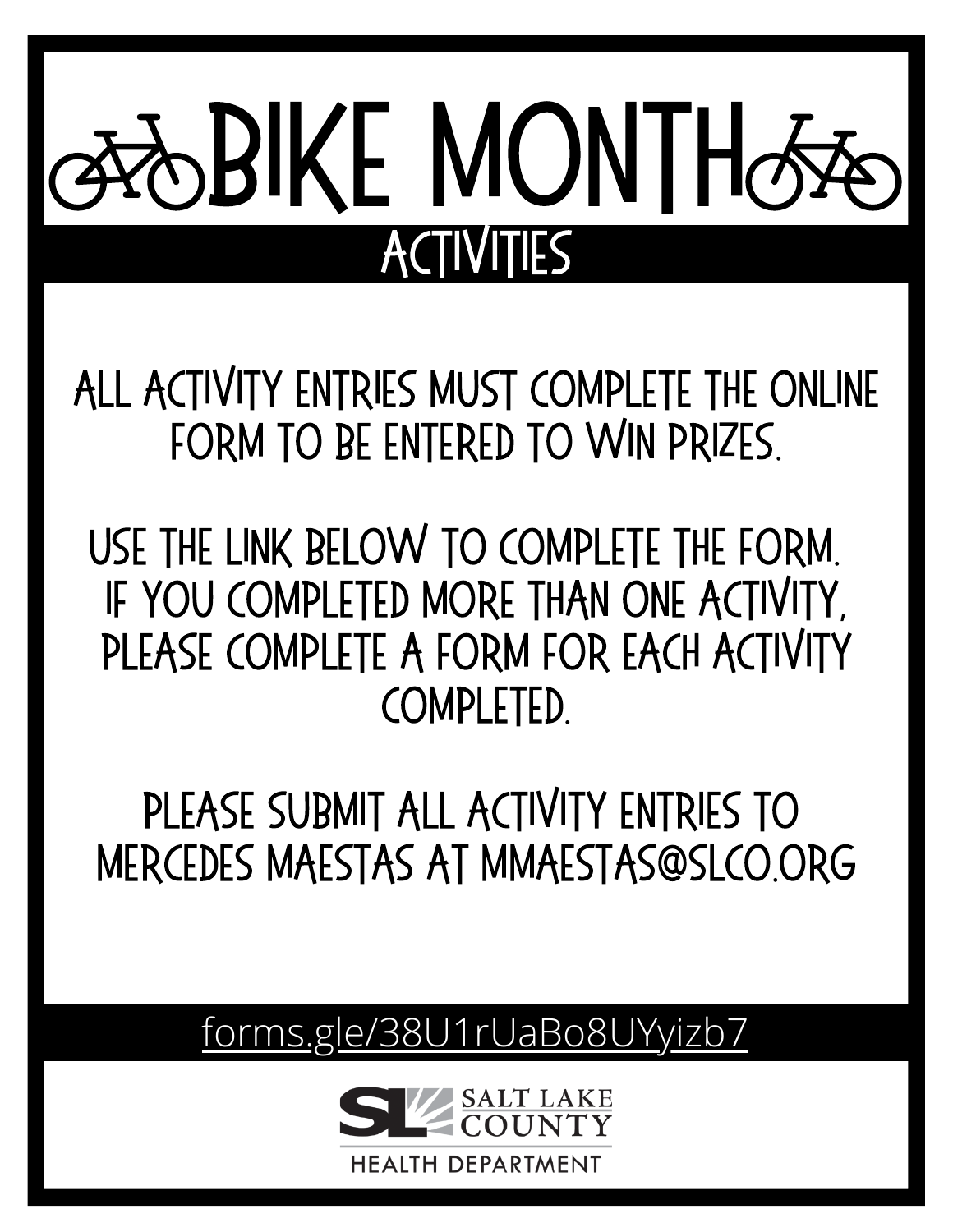# **SBIKE MONTH& ACTIVITIES**

All activity entries must complete the online form to be entered to win prizes.

use the link below to complete the form. if youcompleted more than one activity, please complete a form for each activity completed.

please submit all activity entries to mercedes maestas at mmaestas@slco.org

[forms.gle/38U1rUaBo8UYyizb7](https://forms.gle/38U1rUaBo8UYyizb7)

**DEPARTMENT**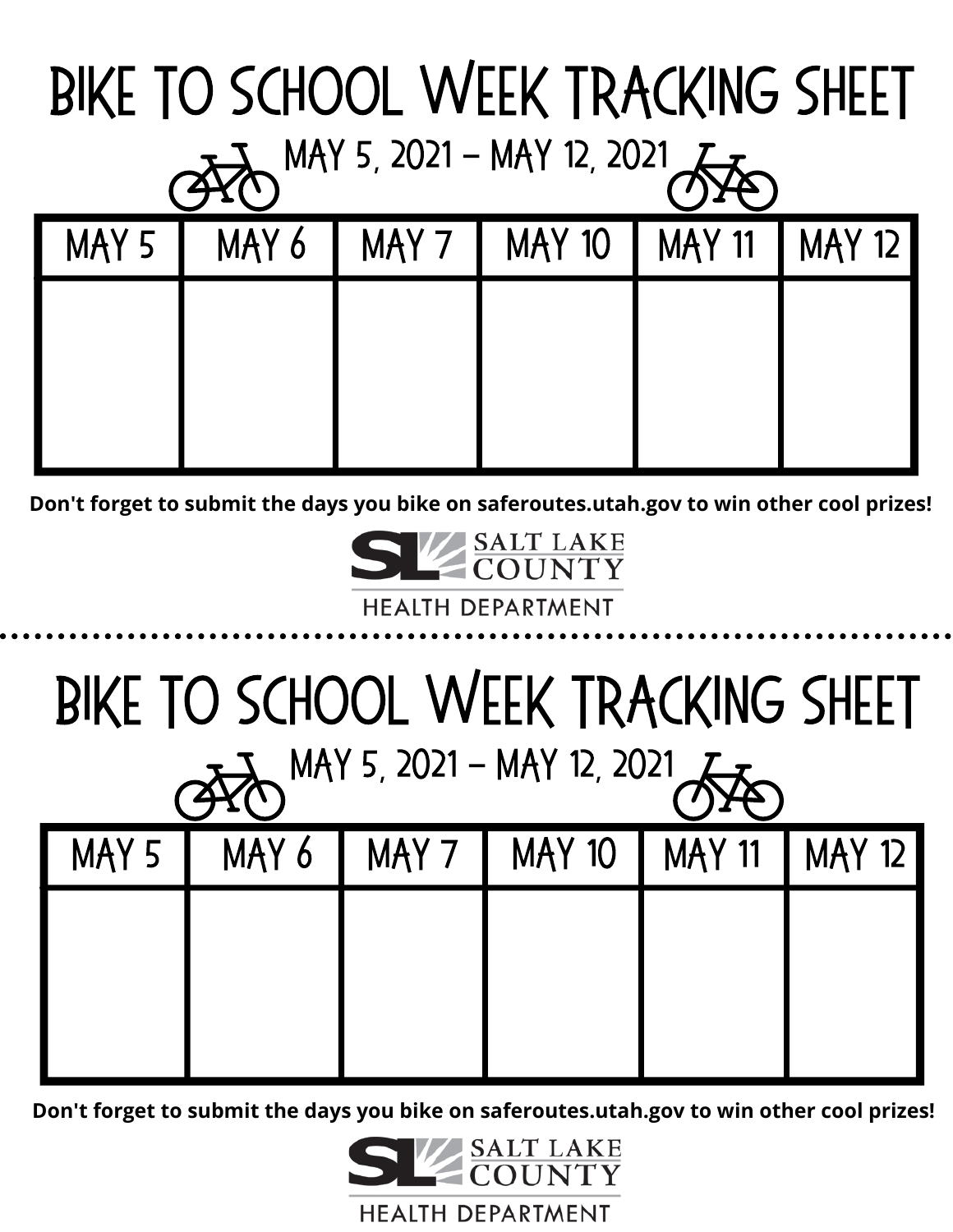| BIKE TO SCHOOL WEEK TRACKING SHEET        |  |  |                                 |  |               |  |  |  |
|-------------------------------------------|--|--|---------------------------------|--|---------------|--|--|--|
| $7\frac{1}{2}$ MAY 5, 2021 - MAY 12, 2021 |  |  |                                 |  |               |  |  |  |
| MAY 5                                     |  |  | MAY 6   MAY 7   MAY 10   MAY 11 |  | <b>MAY 12</b> |  |  |  |
|                                           |  |  |                                 |  |               |  |  |  |
|                                           |  |  |                                 |  |               |  |  |  |
|                                           |  |  |                                 |  |               |  |  |  |

**Don't forget to submit the days you bike on saferoutes.utah.gov to win other cool prizes!**



## Bike to School Week Tracking Sheet

| MAY 5, 2021 - MAY 12, 2021 |       |  |                |               |        |  |  |
|----------------------------|-------|--|----------------|---------------|--------|--|--|
| MAY 5                      | MAY 6 |  | MAY 7   MAY 10 | <b>MAY 11</b> | MAY 12 |  |  |
|                            |       |  |                |               |        |  |  |
|                            |       |  |                |               |        |  |  |
|                            |       |  |                |               |        |  |  |

**Don't forget to submit the days you bike on saferoutes.utah.gov to win other cool prizes!**

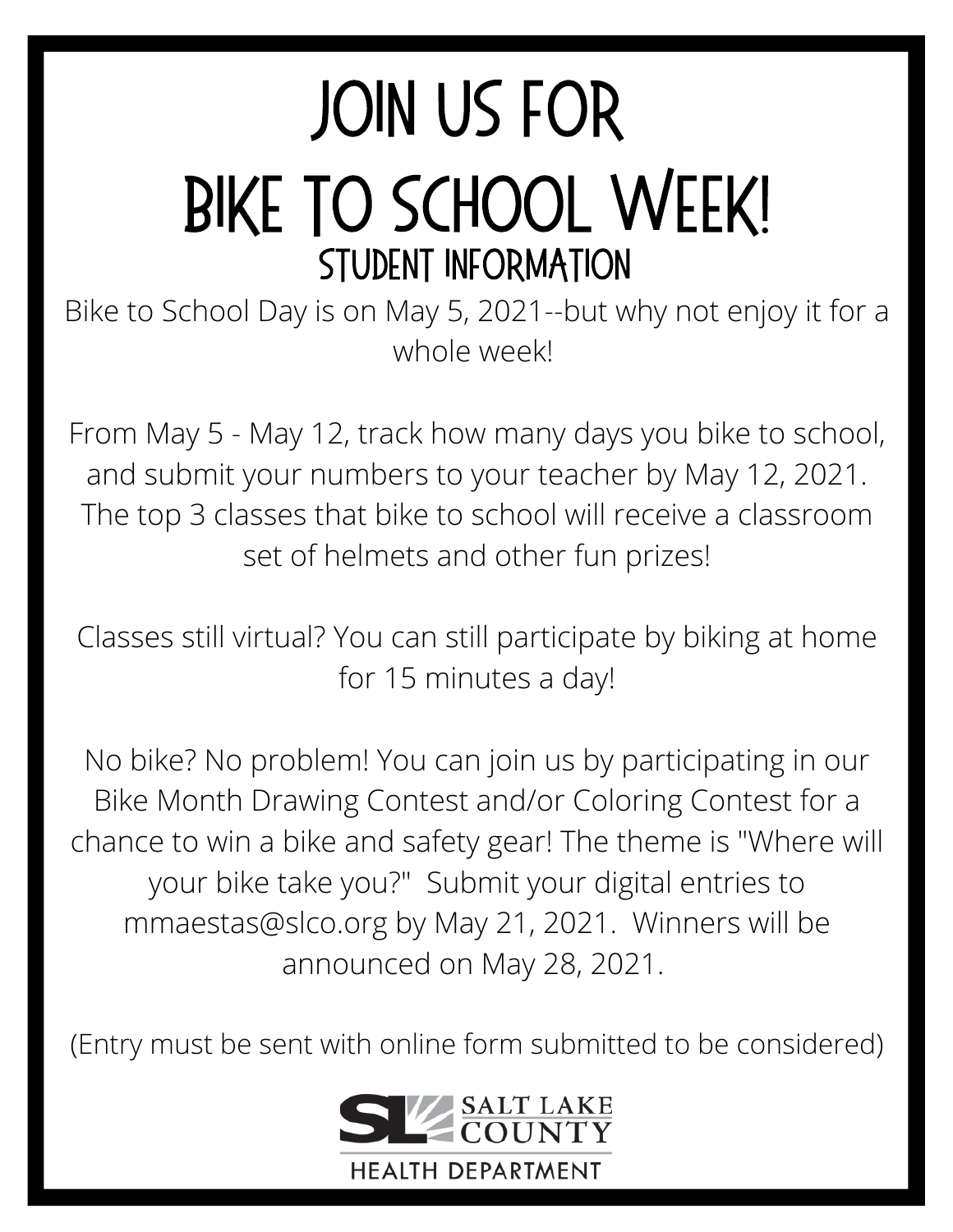## **JOIN US FOR** BIKE TO SCHOOL WEEK! Student information

Bike to School Day is on May 5, 2021--but why not enjoy it for a whole week!

From May 5 - May 12, track how many days you bike to school, and submit your numbers to your teacher by May 12, 2021. The top 3 classes that bike to school will receive a classroom set of helmets and other fun prizes!

Classes still virtual? You can still participate by biking at home for 15 minutes a day!

No bike? No problem! You can join us by participating in our Bike Month Drawing Contest and/or Coloring Contest for a chance to win a bike and safety gear! The theme is "Where will your bike take you?" Submit your digital entries to mmaestas@slco.org by May 21, 2021. Winners will be announced on May 28, 2021.

(Entry must be sent with online form submitted to be considered)

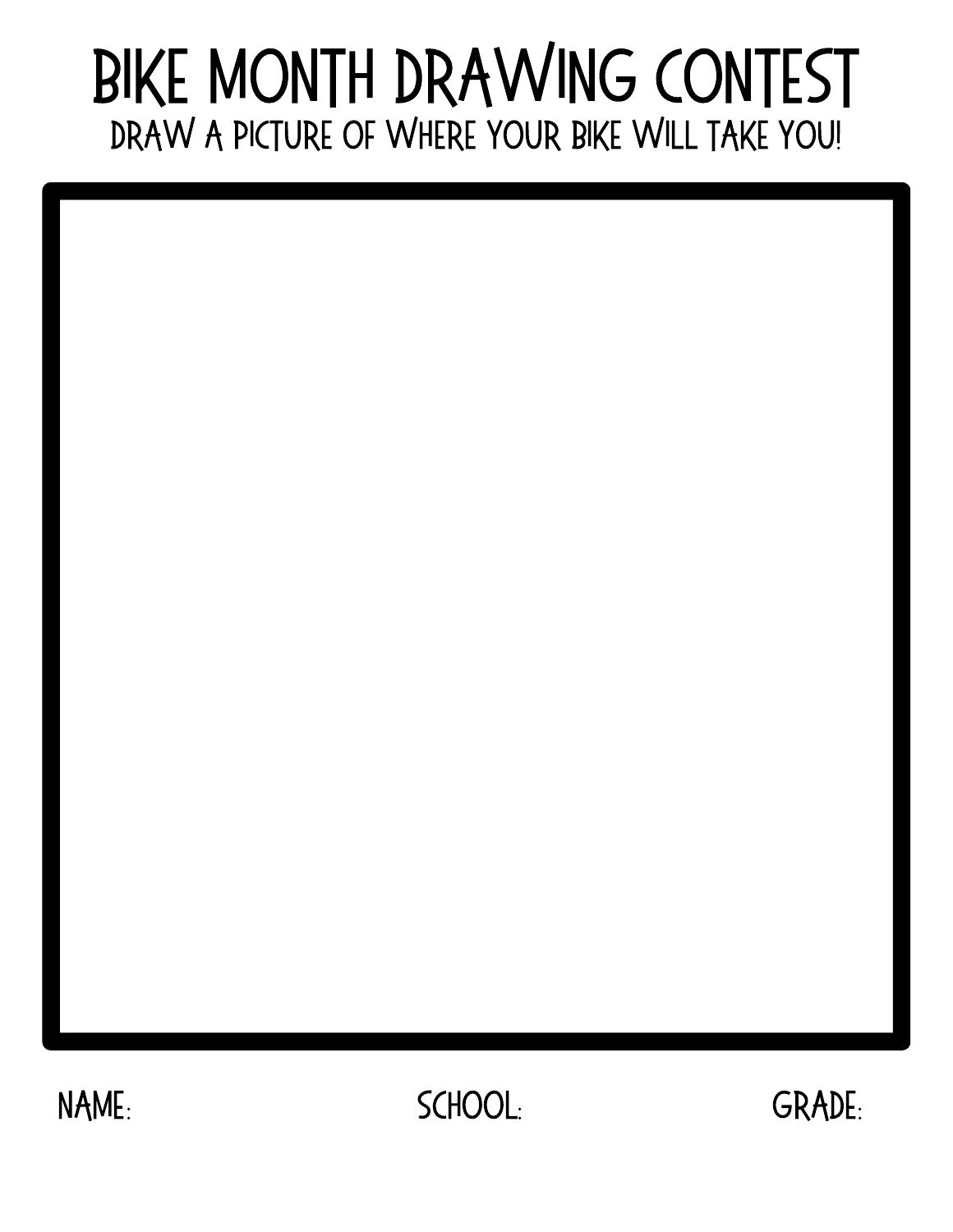#### DRAW A PICTURE OF WHERE YOUR BIKE WILL TAKE YOU! Bike Month Drawing Contest

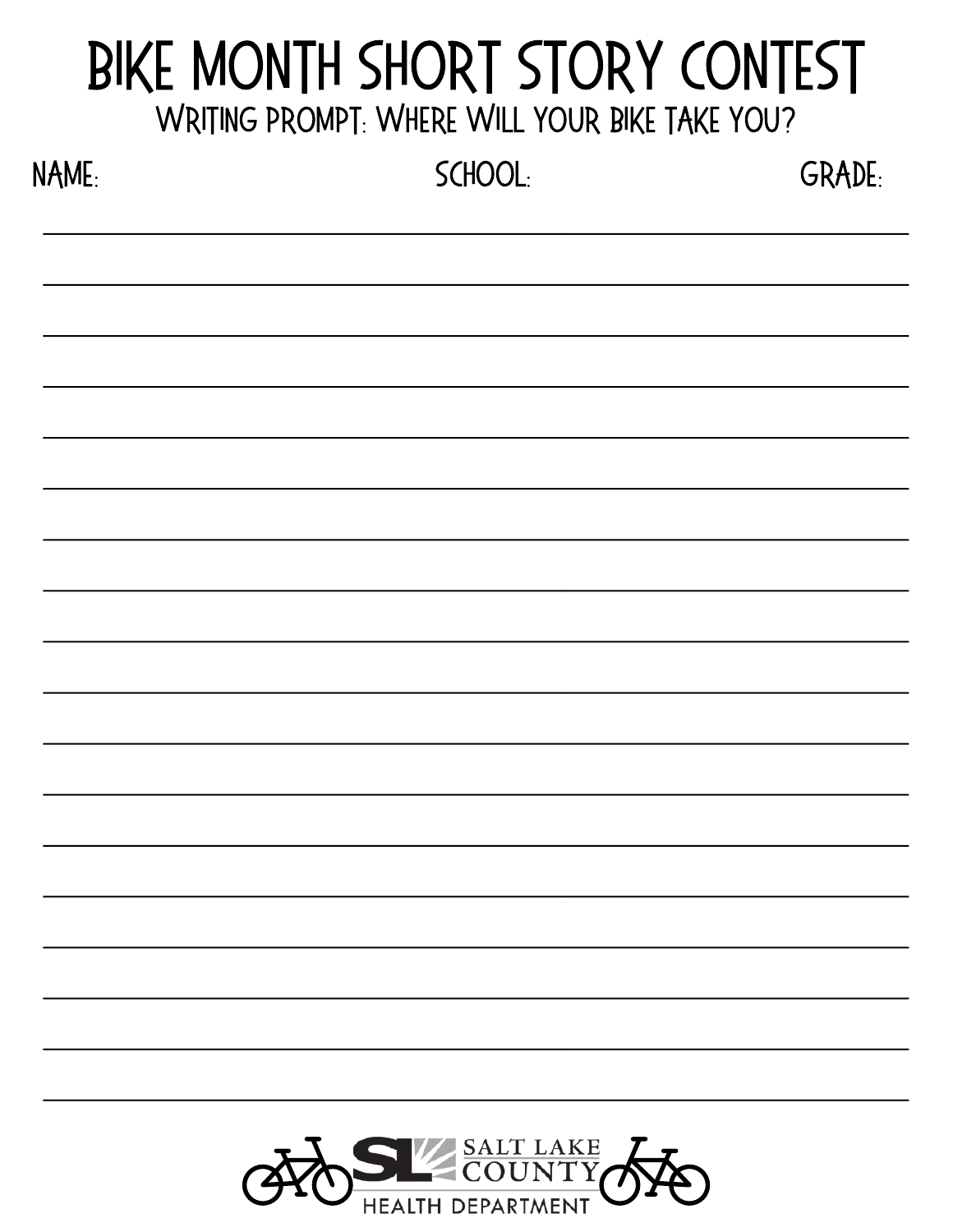#### WRITING PROMPT: WHERE WILL YOUR BIKE TAKE YOU? Bike Month Short Story Contest

| NAME: | SCHOOL: | <b>GRADE:</b> |
|-------|---------|---------------|
|       |         |               |
|       |         |               |
|       |         |               |
|       |         |               |
|       |         |               |
|       |         |               |
|       |         |               |
|       |         |               |
|       |         |               |
|       |         |               |
|       |         |               |
|       |         |               |

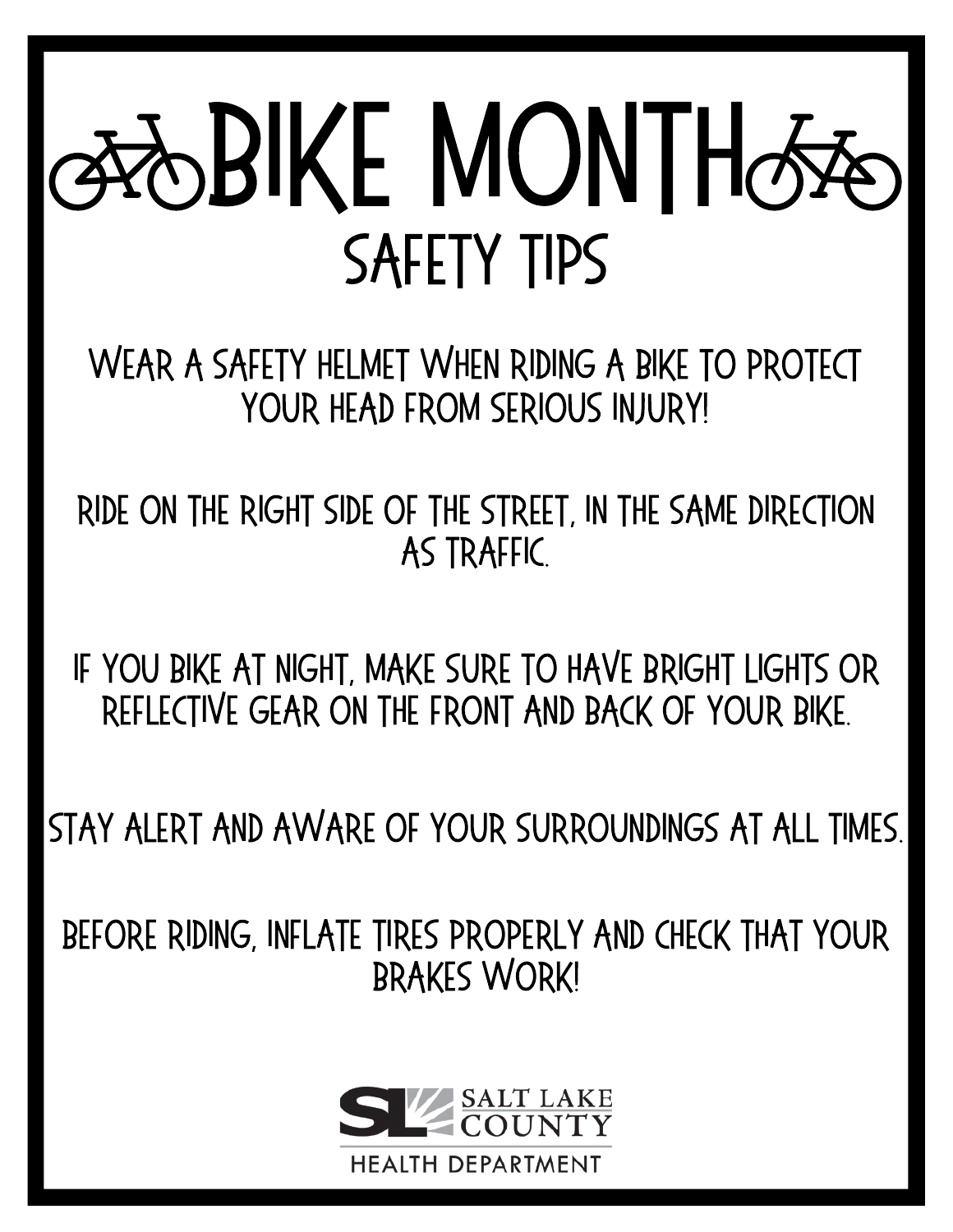# **GROBIKE MONTHGRA** safety tips

WEAR A SAFETY HELMET WHEN RIDING A BIKE TO PROTECT YOUR HEAD FROM SERIOUS INJURY!

RIDE ON THE RIGHT SIDE OF THE STREET, IN THE SAME DIRECTION AS TRAFFIC.

IF YOUBIKE AT NIGHT, MAKE SURE TO HAVE BRIGHT LIGHTS OR REFLECTIVE GEAR ON THE FRONT AND BACK OF YOUR BIKE.

STAY ALERT AND AWARE OF YOUR SURROUNDINGS AT ALL TIMES.

BEFORE RIDING, INFLATE TIRES PROPERLY AND CHECK THAT YOUR BRAKES WORK!

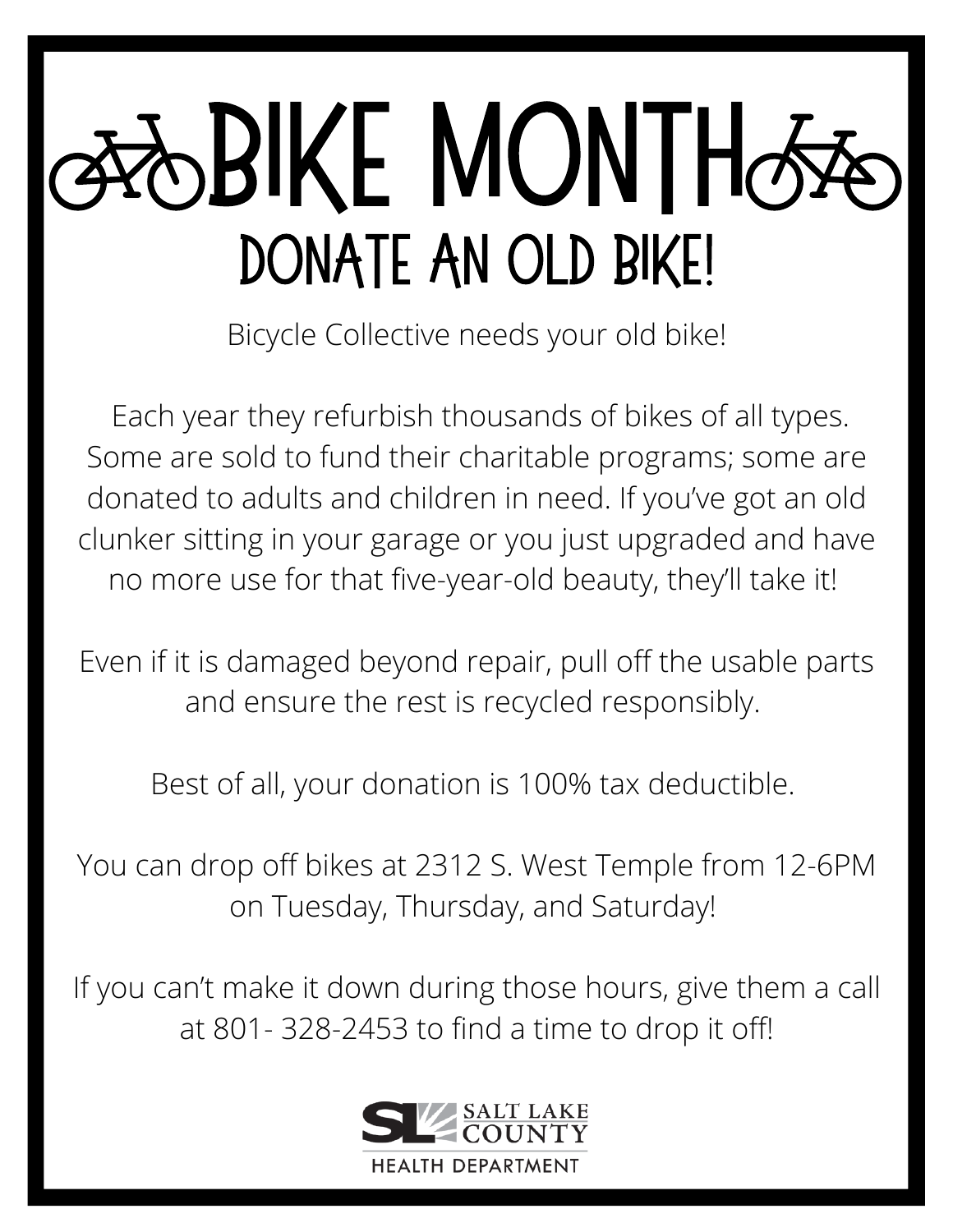# **SBIKE MONTHO** DONATE AN OLD BIKE!

Bicycle Collective needs your old bike!

Each year they refurbish thousands of bikes of all types. Some are sold to fund their charitable programs; some are donated to adults and children in need. If you've got an old clunker sitting in your garage or you just upgraded and have no more use for that five-year-old beauty, they'll take it!

Even if it is damaged beyond repair, pull off the usable parts and ensure the rest is recycled responsibly.

Best of all, your donation is 100% tax deductible.

You can drop off bikes at 2312 S. West Temple from 12-6PM on Tuesday, Thursday, and Saturday!

If you can't make it down during those hours, give them a call at 801- 328-2453 to find a time to drop it off!